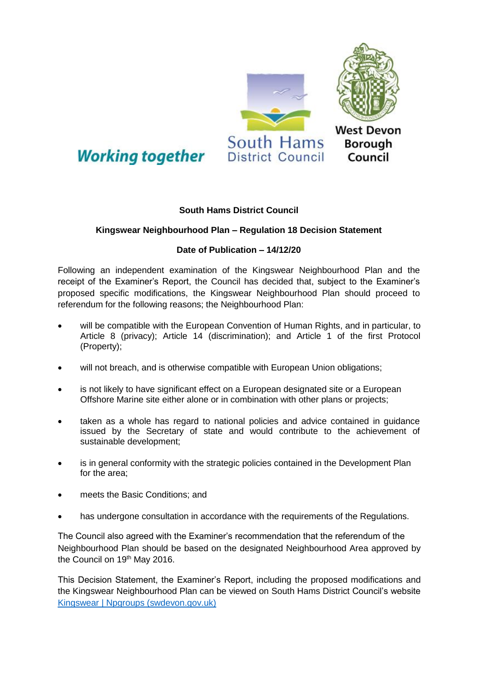

## **South Hams District Council**

## **Kingswear Neighbourhood Plan – Regulation 18 Decision Statement**

## **Date of Publication – 14/12/20**

Following an independent examination of the Kingswear Neighbourhood Plan and the receipt of the Examiner's Report, the Council has decided that, subject to the Examiner's proposed specific modifications, the Kingswear Neighbourhood Plan should proceed to referendum for the following reasons; the Neighbourhood Plan:

- will be compatible with the European Convention of Human Rights, and in particular, to Article 8 (privacy); Article 14 (discrimination); and Article 1 of the first Protocol (Property);
- will not breach, and is otherwise compatible with European Union obligations;
- is not likely to have significant effect on a European designated site or a European Offshore Marine site either alone or in combination with other plans or projects;
- taken as a whole has regard to national policies and advice contained in guidance issued by the Secretary of state and would contribute to the achievement of sustainable development;
- is in general conformity with the strategic policies contained in the Development Plan for the area;
- meets the Basic Conditions; and
- has undergone consultation in accordance with the requirements of the Regulations.

The Council also agreed with the Examiner's recommendation that the referendum of the Neighbourhood Plan should be based on the designated Neighbourhood Area approved by the Council on 19<sup>th</sup> May 2016.

This Decision Statement, the Examiner's Report, including the proposed modifications and the Kingswear Neighbourhood Plan can be viewed on South Hams District Council's website [Kingswear | Npgroups \(swdevon.gov.uk\)](https://www.neighbourhoodplanning.swdevon.gov.uk/kingswear)